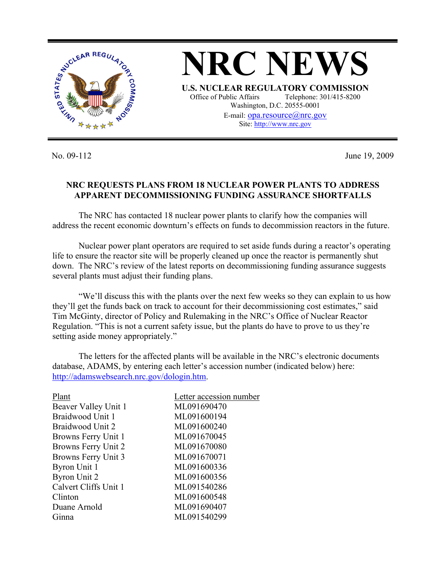

No. 09-112 June 19, 2009

## **NRC REQUESTS PLANS FROM 18 NUCLEAR POWER PLANTS TO ADDRESS APPARENT DECOMMISSIONING FUNDING ASSURANCE SHORTFALLS**

The NRC has contacted 18 nuclear power plants to clarify how the companies will address the recent economic downturn's effects on funds to decommission reactors in the future.

Nuclear power plant operators are required to set aside funds during a reactor's operating life to ensure the reactor site will be properly cleaned up once the reactor is permanently shut down. The NRC's review of the latest reports on decommissioning funding assurance suggests several plants must adjust their funding plans.

"We'll discuss this with the plants over the next few weeks so they can explain to us how they'll get the funds back on track to account for their decommissioning cost estimates," said Tim McGinty, director of Policy and Rulemaking in the NRC's Office of Nuclear Reactor Regulation. "This is not a current safety issue, but the plants do have to prove to us they're setting aside money appropriately."

The letters for the affected plants will be available in the NRC's electronic documents database, ADAMS, by entering each letter's accession number (indicated below) here: http://adamswebsearch.nrc.gov/dologin.htm.

| Plant                 | Letter accession number |
|-----------------------|-------------------------|
| Beaver Valley Unit 1  | ML091690470             |
| Braidwood Unit 1      | ML091600194             |
| Braidwood Unit 2      | ML091600240             |
| Browns Ferry Unit 1   | ML091670045             |
| Browns Ferry Unit 2   | ML091670080             |
| Browns Ferry Unit 3   | ML091670071             |
| Byron Unit 1          | ML091600336             |
| <b>Byron Unit 2</b>   | ML091600356             |
| Calvert Cliffs Unit 1 | ML091540286             |
| Clinton               | ML091600548             |
| Duane Arnold          | ML091690407             |
| Ginna                 | ML091540299             |
|                       |                         |